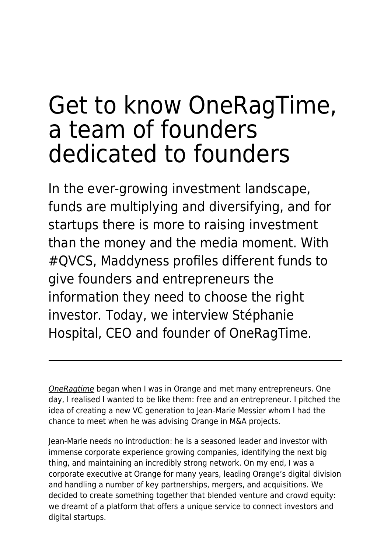# Get to know OneRagTime, a team of founders dedicated to founders

In the ever-growing investment landscape, funds are multiplying and diversifying, and for startups there is more to raising investment than the money and the media moment. With #QVCS, Maddyness profiles different funds to give founders and entrepreneurs the information they need to choose the right investor. Today, we interview Stéphanie Hospital, CEO and founder of OneRagTime.

[OneRagtime](https://www.oneragtime.com/) began when I was in Orange and met many entrepreneurs. One day, I realised I wanted to be like them: free and an entrepreneur. I pitched the idea of creating a new VC generation to Jean-Marie Messier whom I had the chance to meet when he was advising Orange in M&A projects.

Jean-Marie needs no introduction: he is a seasoned leader and investor with immense corporate experience growing companies, identifying the next big thing, and maintaining an incredibly strong network. On my end, I was a corporate executive at Orange for many years, leading Orange's digital division and handling a number of key partnerships, mergers, and acquisitions. We decided to create something together that blended venture and crowd equity: we dreamt of a platform that offers a unique service to connect investors and digital startups.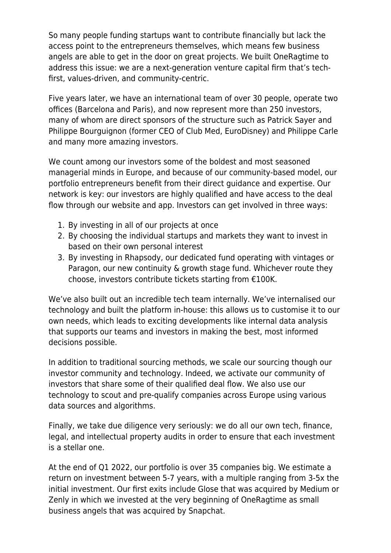So many people funding startups want to contribute financially but lack the access point to the entrepreneurs themselves, which means few business angels are able to get in the door on great projects. We built OneRagtime to address this issue: we are a next-generation venture capital firm that's techfirst, values-driven, and community-centric.

Five years later, we have an international team of over 30 people, operate two offices (Barcelona and Paris), and now represent more than 250 investors, many of whom are direct sponsors of the structure such as Patrick Sayer and Philippe Bourguignon (former CEO of Club Med, EuroDisney) and Philippe Carle and many more amazing investors.

We count among our investors some of the boldest and most seasoned managerial minds in Europe, and because of our community-based model, our portfolio entrepreneurs benefit from their direct guidance and expertise. Our network is key: our investors are highly qualified and have access to the deal flow through our website and app. Investors can get involved in three ways:

- 1. By investing in all of our projects at once
- 2. By choosing the individual startups and markets they want to invest in based on their own personal interest
- 3. By investing in Rhapsody, our dedicated fund operating with vintages or Paragon, our new continuity & growth stage fund. Whichever route they choose, investors contribute tickets starting from €100K.

We've also built out an incredible tech team internally. We've internalised our technology and built the platform in-house: this allows us to customise it to our own needs, which leads to exciting developments like internal data analysis that supports our teams and investors in making the best, most informed decisions possible.

In addition to traditional sourcing methods, we scale our sourcing though our investor community and technology. Indeed, we activate our community of investors that share some of their qualified deal flow. We also use our technology to scout and pre-qualify companies across Europe using various data sources and algorithms.

Finally, we take due diligence very seriously: we do all our own tech, finance, legal, and intellectual property audits in order to ensure that each investment is a stellar one.

At the end of Q1 2022, our portfolio is over 35 companies big. We estimate a return on investment between 5-7 years, with a multiple ranging from 3-5x the initial investment. Our first exits include Glose that was acquired by Medium or Zenly in which we invested at the very beginning of OneRagtime as small business angels that was acquired by Snapchat.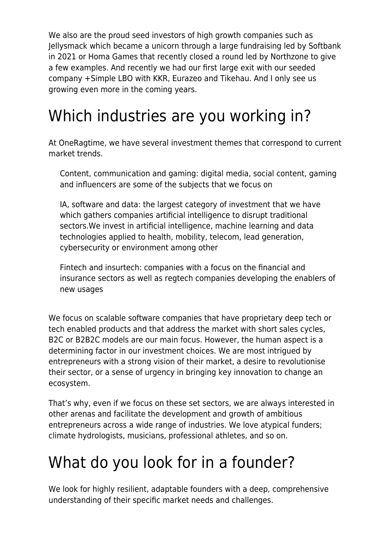We also are the proud seed investors of high growth companies such as Jellysmack which became a unicorn through a large fundraising led by Softbank in 2021 or Homa Games that recently closed a round led by Northzone to give a few examples. And recently we had our first large exit with our seeded company +Simple LBO with KKR, Eurazeo and Tikehau. And I only see us growing even more in the coming years.

## Which industries are you working in?

At OneRagtime, we have several investment themes that correspond to current market trends.

Content, communication and gaming: digital media, social content, gaming and influencers are some of the subjects that we focus on

IA, software and data: the largest category of investment that we have which gathers companies artificial intelligence to disrupt traditional sectors.We invest in artificial intelligence, machine learning and data technologies applied to health, mobility, telecom, lead generation, cybersecurity or environment among other

Fintech and insurtech: companies with a focus on the financial and insurance sectors as well as regtech companies developing the enablers of new usages

We focus on scalable software companies that have proprietary deep tech or tech enabled products and that address the market with short sales cycles, B2C or B2B2C models are our main focus. However, the human aspect is a determining factor in our investment choices. We are most intrigued by entrepreneurs with a strong vision of their market, a desire to revolutionise their sector, or a sense of urgency in bringing key innovation to change an ecosystem.

That's why, even if we focus on these set sectors, we are always interested in other arenas and facilitate the development and growth of ambitious entrepreneurs across a wide range of industries. We love atypical funders; climate hydrologists, musicians, professional athletes, and so on.

## What do you look for in a founder?

We look for highly resilient, adaptable founders with a deep, comprehensive understanding of their specific market needs and challenges.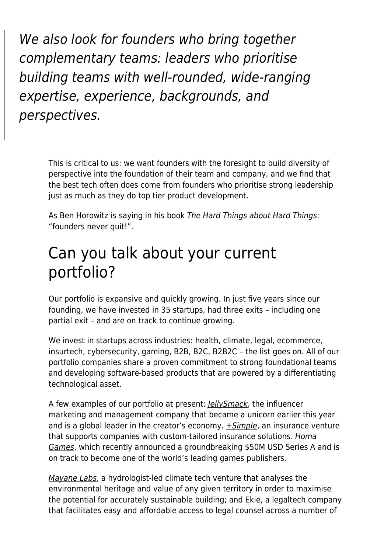We also look for founders who bring together complementary teams: leaders who prioritise building teams with well-rounded, wide-ranging expertise, experience, backgrounds, and perspectives.

> This is critical to us: we want founders with the foresight to build diversity of perspective into the foundation of their team and company, and we find that the best tech often does come from founders who prioritise strong leadership just as much as they do top tier product development.

As Ben Horowitz is saying in his book The Hard Things about Hard Things: "founders never quit!".

#### Can you talk about your current portfolio?

Our portfolio is expansive and quickly growing. In just five years since our founding, we have invested in 35 startups, had three exits – including one partial exit – and are on track to continue growing.

We invest in startups across industries: health, climate, legal, ecommerce, insurtech, cybersecurity, gaming, B2B, B2C, B2B2C – the list goes on. All of our portfolio companies share a proven commitment to strong foundational teams and developing software-based products that are powered by a differentiating technological asset.

A few examples of our portfolio at present: *[JellySmack](https://jellysmack.com/)*, the influencer marketing and management company that became a unicorn earlier this year and is a global leader in the creator's economy.  $\pm$  Simple, an insurance venture that supports companies with custom-tailored insurance solutions. [Homa](https://www.homagames.com/) [Games](https://www.homagames.com/), which recently announced a groundbreaking \$50M USD Series A and is on track to become one of the world's leading games publishers.

[Mayane Labs](https://www.mayanelabs.com/), a hydrologist-led climate tech venture that analyses the environmental heritage and value of any given territory in order to maximise the potential for accurately sustainable building; and Ekie, a legaltech company that facilitates easy and affordable access to legal counsel across a number of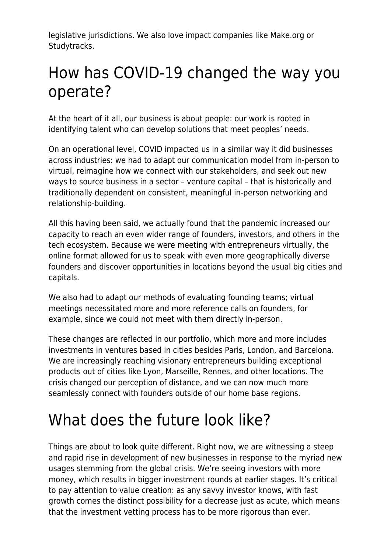legislative jurisdictions. We also love impact companies like Make.org or Studytracks.

## How has COVID-19 changed the way you operate?

At the heart of it all, our business is about people: our work is rooted in identifying talent who can develop solutions that meet peoples' needs.

On an operational level, COVID impacted us in a similar way it did businesses across industries: we had to adapt our communication model from in-person to virtual, reimagine how we connect with our stakeholders, and seek out new ways to source business in a sector – venture capital – that is historically and traditionally dependent on consistent, meaningful in-person networking and relationship-building.

All this having been said, we actually found that the pandemic increased our capacity to reach an even wider range of founders, investors, and others in the tech ecosystem. Because we were meeting with entrepreneurs virtually, the online format allowed for us to speak with even more geographically diverse founders and discover opportunities in locations beyond the usual big cities and capitals.

We also had to adapt our methods of evaluating founding teams; virtual meetings necessitated more and more reference calls on founders, for example, since we could not meet with them directly in-person.

These changes are reflected in our portfolio, which more and more includes investments in ventures based in cities besides Paris, London, and Barcelona. We are increasingly reaching visionary entrepreneurs building exceptional products out of cities like Lyon, Marseille, Rennes, and other locations. The crisis changed our perception of distance, and we can now much more seamlessly connect with founders outside of our home base regions.

## What does the future look like?

Things are about to look quite different. Right now, we are witnessing a steep and rapid rise in development of new businesses in response to the myriad new usages stemming from the global crisis. We're seeing investors with more money, which results in bigger investment rounds at earlier stages. It's critical to pay attention to value creation: as any savvy investor knows, with fast growth comes the distinct possibility for a decrease just as acute, which means that the investment vetting process has to be more rigorous than ever.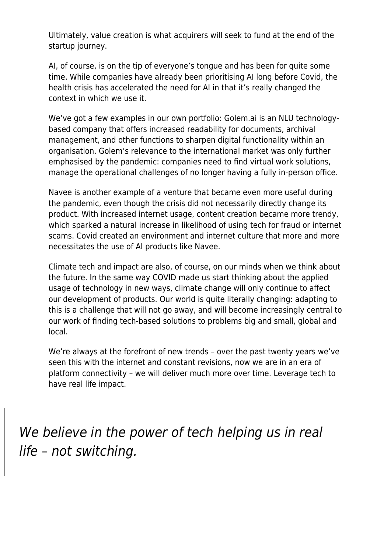Ultimately, value creation is what acquirers will seek to fund at the end of the startup journey.

AI, of course, is on the tip of everyone's tongue and has been for quite some time. While companies have already been prioritising AI long before Covid, the health crisis has accelerated the need for AI in that it's really changed the context in which we use it.

We've got a few examples in our own portfolio: Golem.ai is an NLU technologybased company that offers increased readability for documents, archival management, and other functions to sharpen digital functionality within an organisation. Golem's relevance to the international market was only further emphasised by the pandemic: companies need to find virtual work solutions, manage the operational challenges of no longer having a fully in-person office.

Navee is another example of a venture that became even more useful during the pandemic, even though the crisis did not necessarily directly change its product. With increased internet usage, content creation became more trendy, which sparked a natural increase in likelihood of using tech for fraud or internet scams. Covid created an environment and internet culture that more and more necessitates the use of AI products like Navee.

Climate tech and impact are also, of course, on our minds when we think about the future. In the same way COVID made us start thinking about the applied usage of technology in new ways, climate change will only continue to affect our development of products. Our world is quite literally changing: adapting to this is a challenge that will not go away, and will become increasingly central to our work of finding tech-based solutions to problems big and small, global and local.

We're always at the forefront of new trends – over the past twenty years we've seen this with the internet and constant revisions, now we are in an era of platform connectivity – we will deliver much more over time. Leverage tech to have real life impact.

We believe in the power of tech helping us in real life – not switching.